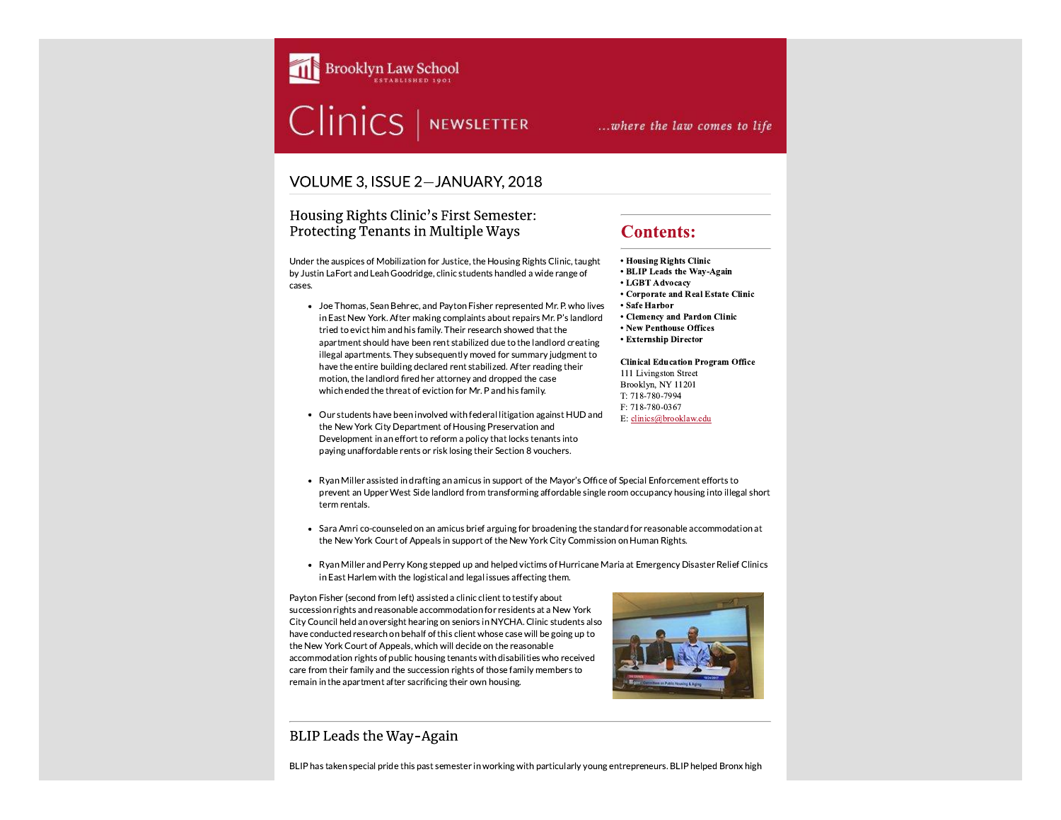

# Clinics | NEWSLETTER

# ... where the law comes to life

## VOLUME 3, ISSUE 2-JANUARY, 2018

#### Housing Rights Clinic's First Semester: Protecting Tenants in Multiple Ways

Under the auspices of Mobilization for Justice, the Housing Rights Clinic, taught by Justin LaFort and Leah Goodridge, clinic students handled a wide range of cases.

- Joe Thomas, Sean Behrec, and Payton Fisher represented Mr. P. who lives in East New York. After making complaints about repairs Mr. P's landlord tried to evict him and his family. Their research showed that the apartment should have been rent stabilized due to the landlord creating illegal apartments. They subsequently moved for summary judgment to have the entire building declared rent stabilized. After reading their motion, the landlord fired her attorney and dropped the case which ended the threat of eviction for Mr. P and his family.
- Our students have been involved with federal litigation against HUD and the New York City Department of Housing Preservation and Development in an effort to reform a policy that locks tenants into paying unaffordable rents or risk losing their Section 8 vouchers.

# **Contents:**

• Housing Rights Clinic

- BLIP Leads the Way-Again
- LGBT Advocacy
- Corporate and Real Estate Clinic
- Safe Harbor
- Clemency and Pardon Clinic
- New Penthouse Offices
- Externship Director

**Clinical Education Program Office** 111 Livingston Street Brooklyn, NY 11201 T: 718-780-7994 F: 718-780-0367 E: clinics@brooklaw.edu

- Ryan Miller assisted in drafting an amicus in support of the Mayor's Office of Special Enforcement efforts to prevent an Upper West Side landlord from transforming affordable single room occupancy housing into illegal short term rentals.
- Sara Amri co-counseled on an amicus brief arguing for broadening the standard for reasonable accommodation at the New York Court of Appeals in support of the New York City Commission on Human Rights.
- Ryan Miller and Perry Kong stepped up and helped victims of Hurricane Maria at Emergency Disaster Relief Clinics in East Harlem with the logistical and legal issues affecting them.

Payton Fisher (second from left) assisted a clinic client to testify about succession rights and reasonable accommodation for residents at a New York City Council held an oversight hearing on seniors in NYCHA. Clinic students also have conducted research on behalf of this client whose case will be going up to the New York Court of Appeals, which will decide on the reasonable accommodation rights of public housing tenants with disabilities who received care from their family and the succession rights of those family members to remain in the apartment after sacrificing their own housing.



## BLIP Leads the Way-Again

BLIP has taken special pride this past semester in working with particularly young entrepreneurs. BLIP helped Bronx high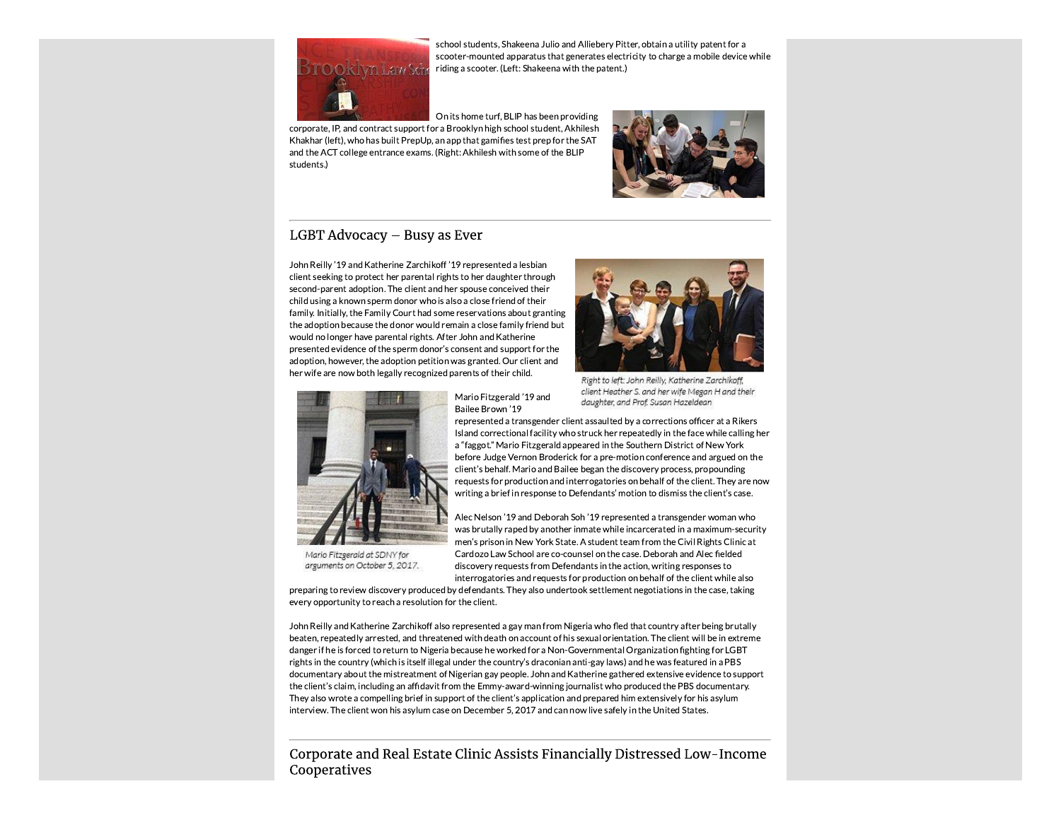

school students, Shakeena Julio and Alliebery Pitter, obtain a utility patent for a scooter-mounted apparatus that generates electricity to charge a mobile device while riding a scooter. (Left: Shakeena with the patent.)

On its home turf, BLIP has been providing corporate, IP, and contract support for a Brooklyn high school student, Akhilesh Khakhar (left), who has built PrepUp, an app that gamifies test prep for the SAT and the ACT college entrance exams. (Right: Akhilesh with some of the BLIP students.)



### LGBT Advocacy - Busy as Ever

John Reilly '19 and Katherine Zarchikoff '19 represented a lesbian client seeking to protect her parental rights to her daughter through second-parent adoption. The client and her spouse conceived their child using a known sperm donor who is also a close friend of their family. Initially, the Family Court had some reservations about granting the adoption because the donor would remain a close family friend but would no longer have parental rights. After John and Katherine presented evidence of the sperm donor's consent and support for the adoption, however, the adoption petition was granted. Our client and her wife are now both legally recognized parents of their child.



Right to left: John Reilly, Katherine Zarchikoff. client Heather S. and her wife Megan H and their Mario Fitzgerald '19 and daughter, and Prof. Susan Hazeldean



Mario Fitzgerald at SDNY for arguments on October 5, 2017.

represented a transgender client assaulted by a corrections officer at a Rikers Island correctional facility who struck her repeatedly in the face while calling her a "faggot." Mario Fitzgerald appeared in the Southern District of New York before Judge Vernon Broderick for a pre-motion conference and argued on the client's behalf. Mario and Bailee began the discovery process, propounding requests for production and interrogatories on behalf of the client. They are now writing a brief in response to Defendants' motion to dismiss the client's case.

Alec Nelson '19 and Deborah Soh '19 represented a transgender woman who was brutally raped by another inmate while incarcerated in a maximum-security men's prison in New York State. A student team from the Civil Rights Clinic at Cardozo Law School are co-counsel on the case. Deborah and Alec fielded discovery requests from Defendants in the action, writing responses to interrogatories and requests for production on behalf of the client while also

preparing to review discovery produced by defendants. They also undertook settlement negotiations in the case, taking every opportunity to reach a resolution for the client.

Bailee Brown '19

John Reilly and Katherine Zarchikoff also represented a gay man from Nigeria who fled that country after being brutally beaten, repeatedly arrested, and threatened with death on account of his sexual orientation. The client will be in extreme danger if he is forced to return to Nigeria because he worked for a Non-Governmental Organization fighting for LGBT rights in the country (which is itself illegal under the country's draconian anti-gay laws) and he was featured in a PBS documentary about the mistreatment of Nigerian gay people. John and Katherine gathered extensive evidence to support the client's claim, including an affidavit from the Emmy-award-winning journalist who produced the PBS documentary. They also wrote a compelling brief in support of the client's application and prepared him extensively for his asylum interview. The client won his asylum case on December 5, 2017 and can now live safely in the United States.

Corporate and Real Estate Clinic Assists Financially Distressed Low-Income Cooperatives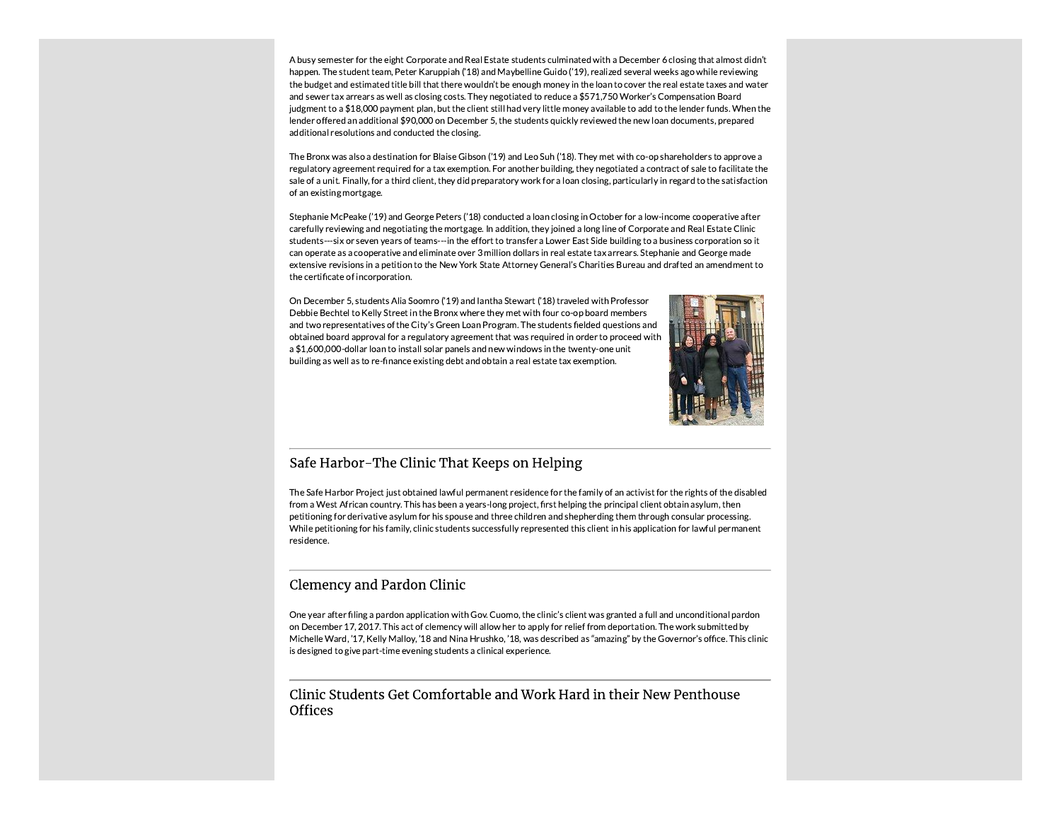A busy semester for the eight Corporate and Real Estate students culminated with a December 6 closing that almost didn't happen. The student team, Peter Karuppiah ('18) and Maybelline Guido ('19), realized several weeks ago while reviewing the budget and estimated title bill that there wouldn't be enough money in the loan to cover the real estate taxes and water and sewer tax arrears as well as closing costs. They negotiated to reduce a \$571,750 Worker's Compensation Board judgment to a \$18,000 payment plan, but the client still had very little money available to add to the lender funds. When the lender offered an additional \$90,000 on December 5, the students quickly reviewed the new loan documents, prepared additional resolutions and conducted the closing.

The Bronx was also a destination for Blaise Gibson ('19) and Leo Suh ('18). They met with co-op shareholders to approve a regulatory agreement required for a tax exemption. For another building, they negotiated a contract of sale to facilitate the sale of a unit. Finally, for a third client, they did preparatory work for a loan closing, particularly in regard to the satisfaction of an existing mortgage.

Stephanie McPeake ('19) and George Peters ('18) conducted a loan closing in October for a low-income cooperative after carefully reviewing and negotiating the mortgage. In addition, they joined a long line of Corporate and Real Estate Clinic students---six or seven years of teams---in the effort to transfer a Lower East Side building to a business corporation so it can operate as a cooperative and eliminate over 3 million dollars in real estate tax arrears. Stephanie and George made extensive revisions in a petition to the New York State Attorney General's Charities Bureau and drafted an amendment to the certificate of incorporation.

On December 5, students Alia Soomro ('19) and lantha Stewart ('18) traveled with Professor Debbie Bechtel to Kelly Street in the Bronx where they met with four co-op board members and two representatives of the City's Green Loan Program. The students fielded questions and obtained board approval for a regulatory agreement that was required in order to proceed with a \$1,600,000-dollar loan to install solar panels and new windows in the twenty-one unit building as well as to re-finance existing debt and obtain a real estate tax exemption.



#### Safe Harbor-The Clinic That Keeps on Helping

The Safe Harbor Project just obtained lawful permanent residence for the family of an activist for the rights of the disabled from a West African country. This has been a years-long project, first helping the principal client obtain asylum, then petitioning for derivative asylum for his spouse and three children and shepherding them through consular processing. While petitioning for his family, clinic students successfully represented this client in his application for lawful permanent residence.

### **Clemency and Pardon Clinic**

One year after filing a pardon application with Gov. Cuomo, the clinic's client was granted a full and unconditional pardon on December 17, 2017. This act of clemency will allow her to apply for relief from deportation. The work submitted by Michelle Ward, '17, Kelly Malloy, '18 and Nina Hrushko, '18, was described as "amazing" by the Governor's office. This clinic is designed to give part-time evening students a clinical experience.

#### Clinic Students Get Comfortable and Work Hard in their New Penthouse **Offices**